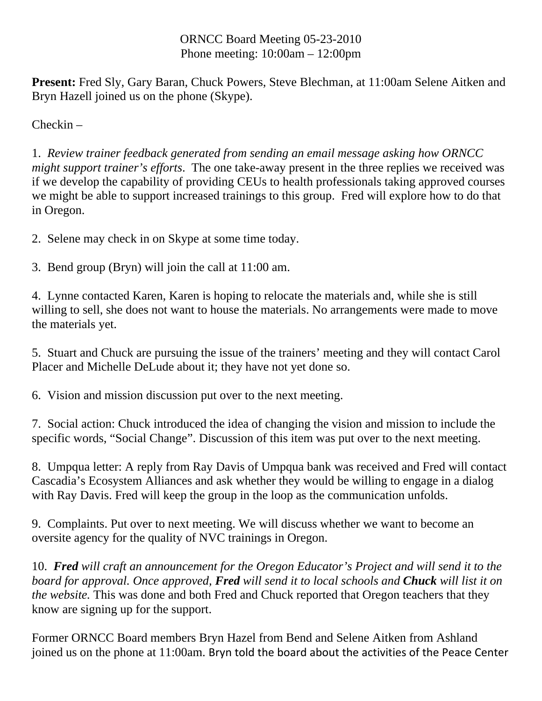## ORNCC Board Meeting 05-23-2010 Phone meeting: 10:00am – 12:00pm

**Present:** Fred Sly, Gary Baran, Chuck Powers, Steve Blechman, at 11:00am Selene Aitken and Bryn Hazell joined us on the phone (Skype).

Checkin –

1. *Review trainer feedback generated from sending an email message asking how ORNCC might support trainer's efforts*. The one take-away present in the three replies we received was if we develop the capability of providing CEUs to health professionals taking approved courses we might be able to support increased trainings to this group. Fred will explore how to do that in Oregon.

2. Selene may check in on Skype at some time today.

3. Bend group (Bryn) will join the call at 11:00 am.

4. Lynne contacted Karen, Karen is hoping to relocate the materials and, while she is still willing to sell, she does not want to house the materials. No arrangements were made to move the materials yet.

5. Stuart and Chuck are pursuing the issue of the trainers' meeting and they will contact Carol Placer and Michelle DeLude about it; they have not yet done so.

6. Vision and mission discussion put over to the next meeting.

7. Social action: Chuck introduced the idea of changing the vision and mission to include the specific words, "Social Change". Discussion of this item was put over to the next meeting.

8. Umpqua letter: A reply from Ray Davis of Umpqua bank was received and Fred will contact Cascadia's Ecosystem Alliances and ask whether they would be willing to engage in a dialog with Ray Davis. Fred will keep the group in the loop as the communication unfolds.

9. Complaints. Put over to next meeting. We will discuss whether we want to become an oversite agency for the quality of NVC trainings in Oregon.

10. *Fred will craft an announcement for the Oregon Educator's Project and will send it to the board for approval. Once approved, Fred will send it to local schools and Chuck will list it on the website.* This was done and both Fred and Chuck reported that Oregon teachers that they know are signing up for the support.

Former ORNCC Board members Bryn Hazel from Bend and Selene Aitken from Ashland joined us on the phone at 11:00am. Bryn told the board about the activities of the Peace Center